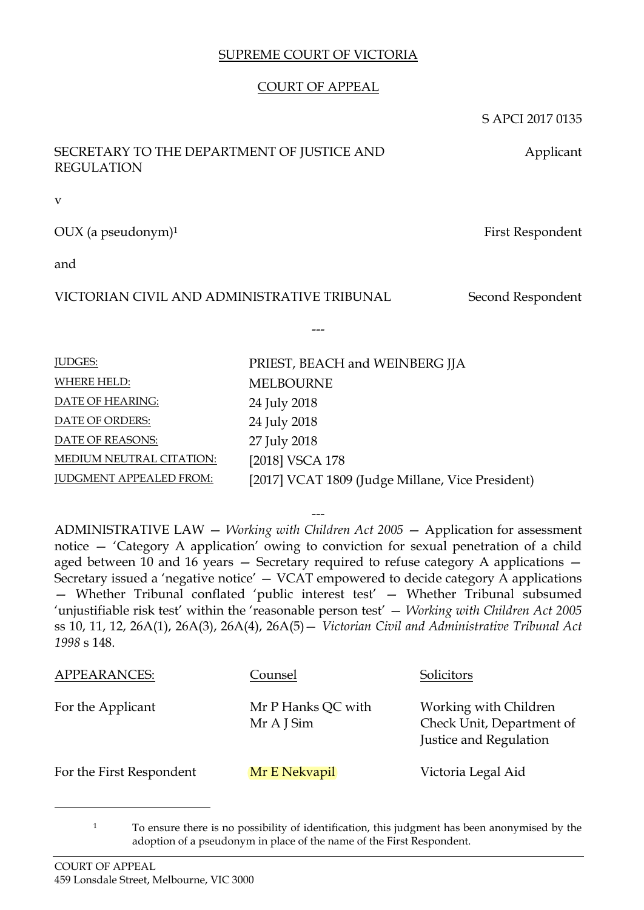## SUPREME COURT OF VICTORIA

## COURT OF APPEAL

---

**MELBOURNE** 24 July 2018 24 July 2018 27 July 2018

[2018] VSCA 178

PRIEST, BEACH and WEINBERG JJA

[2017] VCAT 1809 (Judge Millane, Vice President)

S APCI 2017 0135

Applicant

## SECRETARY TO THE DEPARTMENT OF JUSTICE AND REGULATION

v

OUX (a pseudonym)<sup>1</sup> First Respondent

and

# VICTORIAN CIVIL AND ADMINISTRATIVE TRIBUNAL Second Respondent

| <b>IUDGES:</b>                  |
|---------------------------------|
| WHERE HELD:                     |
| DATE OF HEARING:                |
| DATE OF ORDERS:                 |
| DATE OF REASONS:                |
| <b>MEDIUM NEUTRAL CITATION:</b> |
| <b>JUDGMENT APPEALED FROM:</b>  |

--- ADMINISTRATIVE LAW — *Working with Children Act 2005* — Application for assessment notice — 'Category A application' owing to conviction for sexual penetration of a child aged between 10 and 16 years — Secretary required to refuse category A applications — Secretary issued a 'negative notice' — VCAT empowered to decide category A applications — Whether Tribunal conflated 'public interest test' — Whether Tribunal subsumed 'unjustifiable risk test' within the 'reasonable person test' — *Working with Children Act 2005*  ss 10, 11, 12, 26A(1), 26A(3), 26A(4), 26A(5)— *Victorian Civil and Administrative Tribunal Act 1998* s 148.

| <b>APPEARANCES:</b>      | Counsel                          | Solicitors                                                                   |
|--------------------------|----------------------------------|------------------------------------------------------------------------------|
| For the Applicant        | Mr P Hanks QC with<br>Mr A J Sim | Working with Children<br>Check Unit, Department of<br>Justice and Regulation |
| For the First Respondent | Mr E Nekvapil                    | Victoria Legal Aid                                                           |

<sup>&</sup>lt;sup>1</sup> To ensure there is no possibility of identification, this judgment has been anonymised by the adoption of a pseudonym in place of the name of the First Respondent.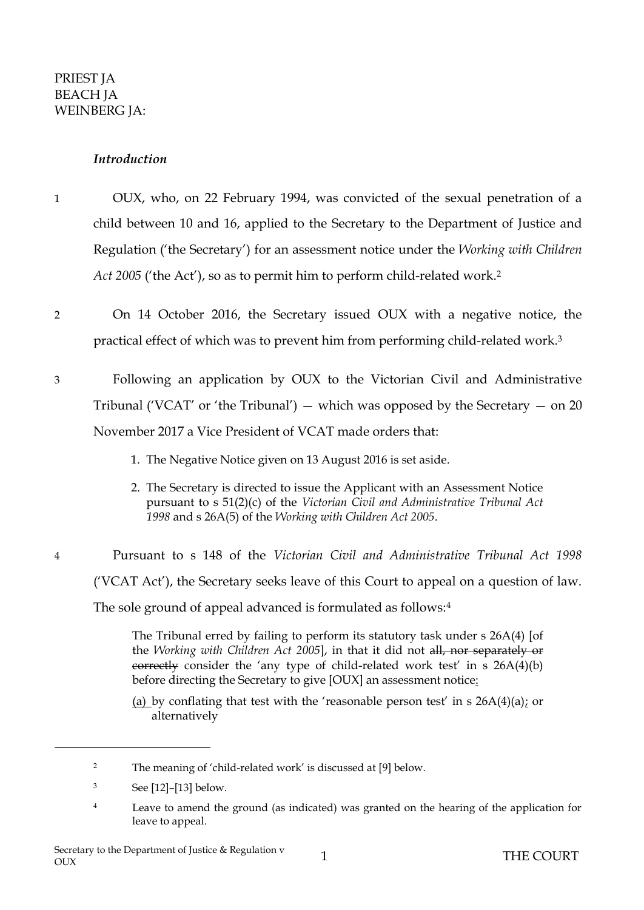#### *Introduction*

- 1 OUX, who, on 22 February 1994, was convicted of the sexual penetration of a child between 10 and 16, applied to the Secretary to the Department of Justice and Regulation ('the Secretary') for an assessment notice under the *Working with Children Act 2005* ('the Act'), so as to permit him to perform child-related work. 2
- 2 On 14 October 2016, the Secretary issued OUX with a negative notice, the practical effect of which was to prevent him from performing child-related work. 3
- 3 Following an application by OUX to the Victorian Civil and Administrative Tribunal ('VCAT' or 'the Tribunal')  $-$  which was opposed by the Secretary  $-$  on 20 November 2017 a Vice President of VCAT made orders that:
	- 1. The Negative Notice given on 13 August 2016 is set aside.
	- 2. The Secretary is directed to issue the Applicant with an Assessment Notice pursuant to s 51(2)(c) of the *Victorian Civil and Administrative Tribunal Act 1998* and s 26A(5) of the *Working with Children Act 2005*.
- 4 Pursuant to s 148 of the *Victorian Civil and Administrative Tribunal Act 1998* ('VCAT Act'), the Secretary seeks leave of this Court to appeal on a question of law. The sole ground of appeal advanced is formulated as follows:<sup>4</sup>

The Tribunal erred by failing to perform its statutory task under s 26A(4) [of the *Working with Children Act 2005*], in that it did not all, nor separately or correctly consider the 'any type of child-related work test' in s 26A(4)(b) before directing the Secretary to give [OUX] an assessment notice:

(a) by conflating that test with the 'reasonable person test' in s  $26A(4)(a)$ ; or alternatively

<sup>2</sup> The meaning of 'child-related work' is discussed at [9] below.

<sup>3</sup> See [\[12\]](#page-3-0)–[\[13\]](#page-4-0) below.

<sup>&</sup>lt;sup>4</sup> Leave to amend the ground (as indicated) was granted on the hearing of the application for leave to appeal.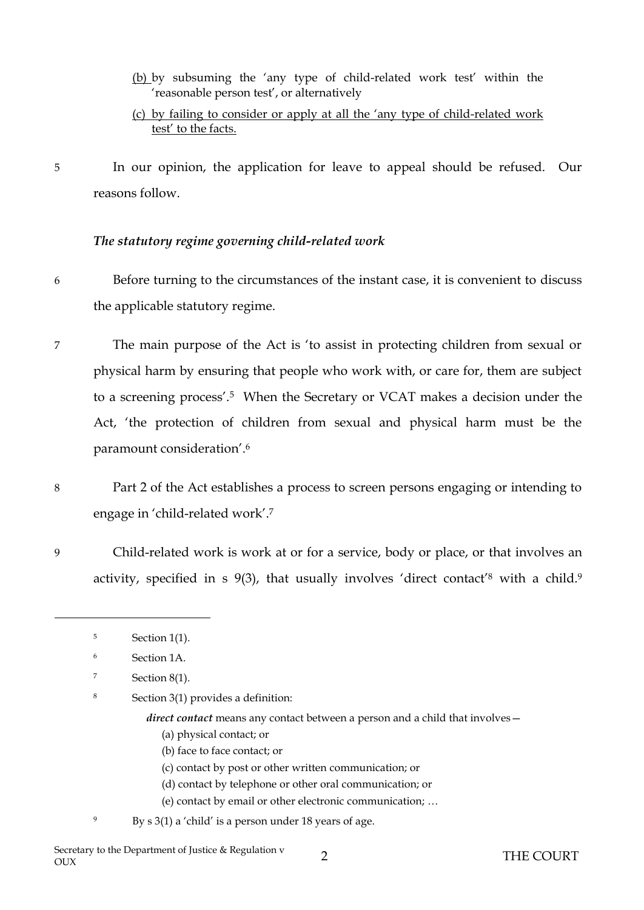(b) by subsuming the 'any type of child-related work test' within the 'reasonable person test', or alternatively

### (c) by failing to consider or apply at all the 'any type of child-related work test' to the facts.

5 In our opinion, the application for leave to appeal should be refused. Our reasons follow.

## *The statutory regime governing child-related work*

- 6 Before turning to the circumstances of the instant case, it is convenient to discuss the applicable statutory regime.
- 7 The main purpose of the Act is 'to assist in protecting children from sexual or physical harm by ensuring that people who work with, or care for, them are subject to a screening process'.<sup>5</sup> When the Secretary or VCAT makes a decision under the Act, 'the protection of children from sexual and physical harm must be the paramount consideration'. 6
- 8 Part 2 of the Act establishes a process to screen persons engaging or intending to engage in 'child-related work'.<sup>7</sup>
- 9 Child-related work is work at or for a service, body or place, or that involves an activity, specified in s 9(3), that usually involves 'direct contact'<sup>8</sup> with a child.<sup>9</sup>
	- <sup>5</sup> Section 1(1).

- <sup>6</sup> Section 1A.
- <sup>7</sup> Section 8(1).
- <sup>8</sup> Section 3(1) provides a definition:
	- *direct contact* means any contact between a person and a child that involves -
		- (a) physical contact; or
		- (b) face to face contact; or
		- (c) contact by post or other written communication; or
		- (d) contact by telephone or other oral communication; or
		- (e) contact by email or other electronic communication; …
	- By  $s$  3(1) a 'child' is a person under 18 years of age.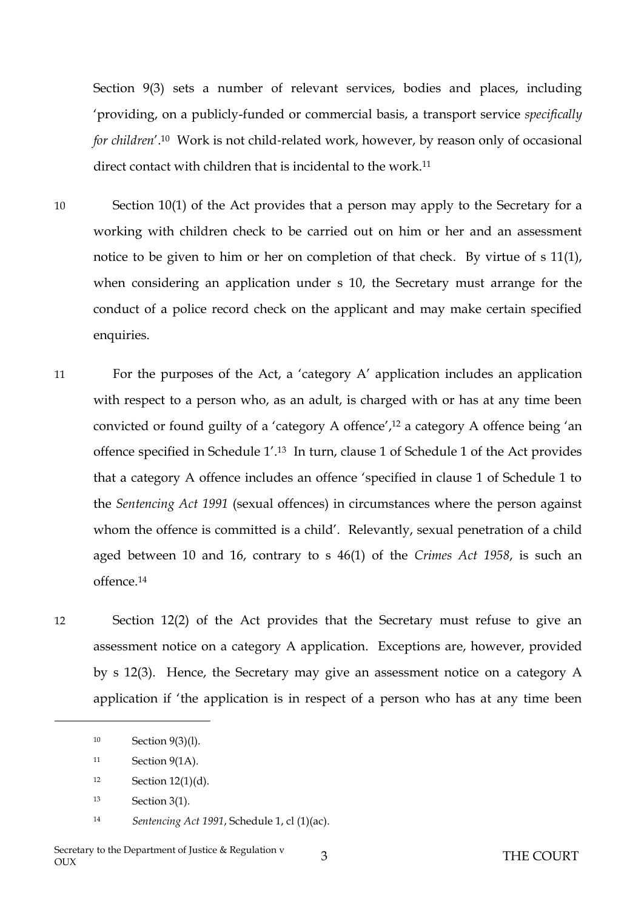Section 9(3) sets a number of relevant services, bodies and places, including 'providing, on a publicly-funded or commercial basis, a transport service *specifically for children'*.<sup>10</sup> Work is not child-related work, however, by reason only of occasional direct contact with children that is incidental to the work.<sup>11</sup>

- 10 Section 10(1) of the Act provides that a person may apply to the Secretary for a working with children check to be carried out on him or her and an assessment notice to be given to him or her on completion of that check. By virtue of s 11(1), when considering an application under s 10, the Secretary must arrange for the conduct of a police record check on the applicant and may make certain specified enquiries.
- 11 For the purposes of the Act, a 'category A' application includes an application with respect to a person who, as an adult, is charged with or has at any time been convicted or found guilty of a 'category A offence',<sup>12</sup> a category A offence being 'an offence specified in Schedule 1'. <sup>13</sup> In turn, clause 1 of Schedule 1 of the Act provides that a category A offence includes an offence 'specified in clause 1 of Schedule 1 to the *Sentencing Act 1991* (sexual offences) in circumstances where the person against whom the offence is committed is a child'. Relevantly, sexual penetration of a child aged between 10 and 16, contrary to s 46(1) of the *Crimes Act 1958*, is such an offence.<sup>14</sup>
- <span id="page-3-0"></span>12 Section 12(2) of the Act provides that the Secretary must refuse to give an assessment notice on a category A application. Exceptions are, however, provided by s 12(3). Hence, the Secretary may give an assessment notice on a category A application if 'the application is in respect of a person who has at any time been

<sup>10</sup> Section 9(3)(l).

<sup>11</sup> Section 9(1A).

<sup>12</sup> Section 12(1)(d).

<sup>13</sup> Section 3(1).

<sup>14</sup> *Sentencing Act 1991*, Schedule 1, cl (1)(ac).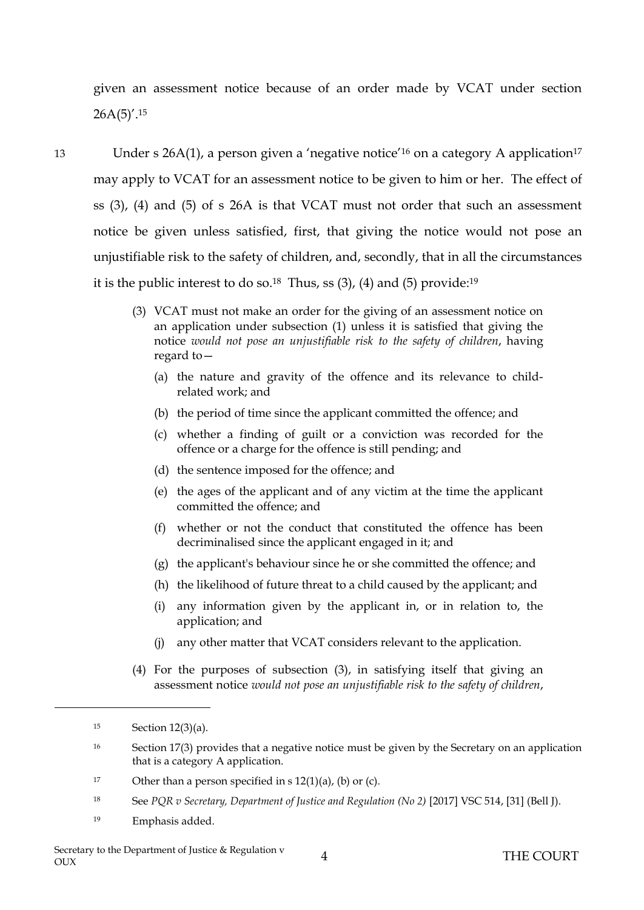given an assessment notice because of an order made by VCAT under section  $26A(5)'$ .<sup>15</sup>

<span id="page-4-0"></span>13 Under s 26A(1), a person given a 'negative notice'<sup>16</sup> on a category A application<sup>17</sup> may apply to VCAT for an assessment notice to be given to him or her. The effect of ss (3), (4) and (5) of s 26A is that VCAT must not order that such an assessment notice be given unless satisfied, first, that giving the notice would not pose an unjustifiable risk to the safety of children, and, secondly, that in all the circumstances it is the public interest to do so. $^{18}$  Thus, ss (3), (4) and (5) provide: $^{19}$ 

- (3) VCAT must not make an order for the giving of an assessment notice on an application under subsection (1) unless it is satisfied that giving the notice *would not pose an unjustifiable risk to the safety of children*, having regard to—
	- (a) the nature and gravity of the offence and its relevance to childrelated work; and
	- (b) the period of time since the applicant committed the offence; and
	- (c) whether a finding of guilt or a conviction was recorded for the offence or a charge for the offence is still pending; and
	- (d) the sentence imposed for the offence; and
	- (e) the ages of the applicant and of any victim at the time the applicant committed the offence; and
	- (f) whether or not the conduct that constituted the offence has been decriminalised since the applicant engaged in it; and
	- (g) the applicant's behaviour since he or she committed the offence; and
	- (h) the likelihood of future threat to a child caused by the applicant; and
	- (i) any information given by the applicant in, or in relation to, the application; and
	- (j) any other matter that VCAT considers relevant to the application.
- (4) For the purposes of subsection (3), in satisfying itself that giving an assessment notice *would not pose an unjustifiable risk to the safety of children*,

- <sup>18</sup> See *PQR v Secretary, Department of Justice and Regulation (No 2)* [2017] VSC 514, [31] (Bell J).
- <sup>19</sup> Emphasis added.

<sup>15</sup> Section 12(3)(a).

<sup>&</sup>lt;sup>16</sup> Section 17(3) provides that a negative notice must be given by the Secretary on an application that is a category A application.

<sup>&</sup>lt;sup>17</sup> Other than a person specified in s  $12(1)(a)$ , (b) or (c).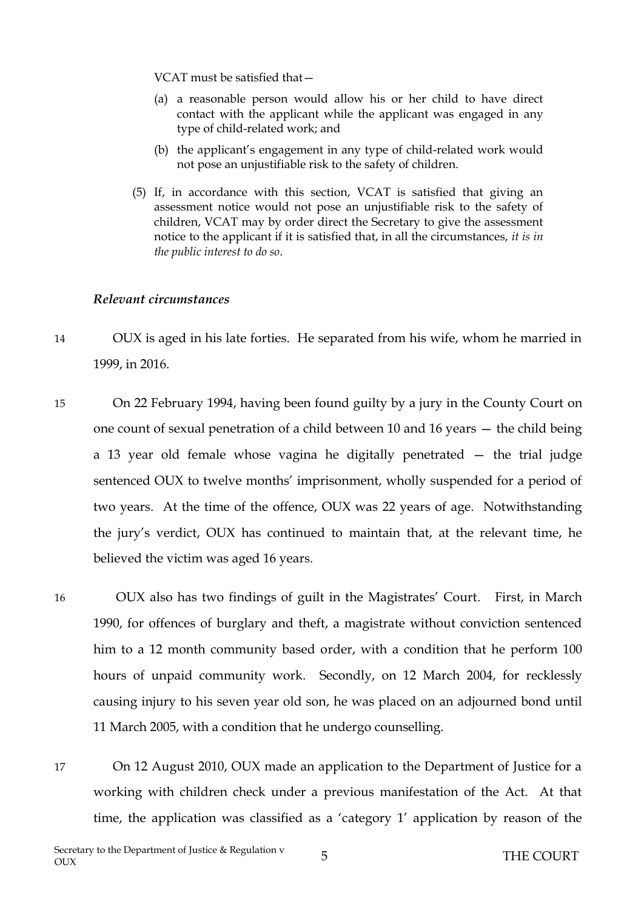VCAT must be satisfied that—

- (a) a reasonable person would allow his or her child to have direct contact with the applicant while the applicant was engaged in any type of child-related work; and
- (b) the applicant's engagement in any type of child-related work would not pose an unjustifiable risk to the safety of children.
- (5) If, in accordance with this section, VCAT is satisfied that giving an assessment notice would not pose an unjustifiable risk to the safety of children, VCAT may by order direct the Secretary to give the assessment notice to the applicant if it is satisfied that, in all the circumstances, *it is in the public interest to do so*.

#### *Relevant circumstances*

- 14 OUX is aged in his late forties. He separated from his wife, whom he married in 1999, in 2016.
- 15 On 22 February 1994, having been found guilty by a jury in the County Court on one count of sexual penetration of a child between 10 and 16 years — the child being a 13 year old female whose vagina he digitally penetrated — the trial judge sentenced OUX to twelve months' imprisonment, wholly suspended for a period of two years. At the time of the offence, OUX was 22 years of age. Notwithstanding the jury's verdict, OUX has continued to maintain that, at the relevant time, he believed the victim was aged 16 years.
- 16 OUX also has two findings of guilt in the Magistrates' Court. First, in March 1990, for offences of burglary and theft, a magistrate without conviction sentenced him to a 12 month community based order, with a condition that he perform 100 hours of unpaid community work. Secondly, on 12 March 2004, for recklessly causing injury to his seven year old son, he was placed on an adjourned bond until 11 March 2005, with a condition that he undergo counselling.
- 17 On 12 August 2010, OUX made an application to the Department of Justice for a working with children check under a previous manifestation of the Act. At that time, the application was classified as a 'category 1' application by reason of the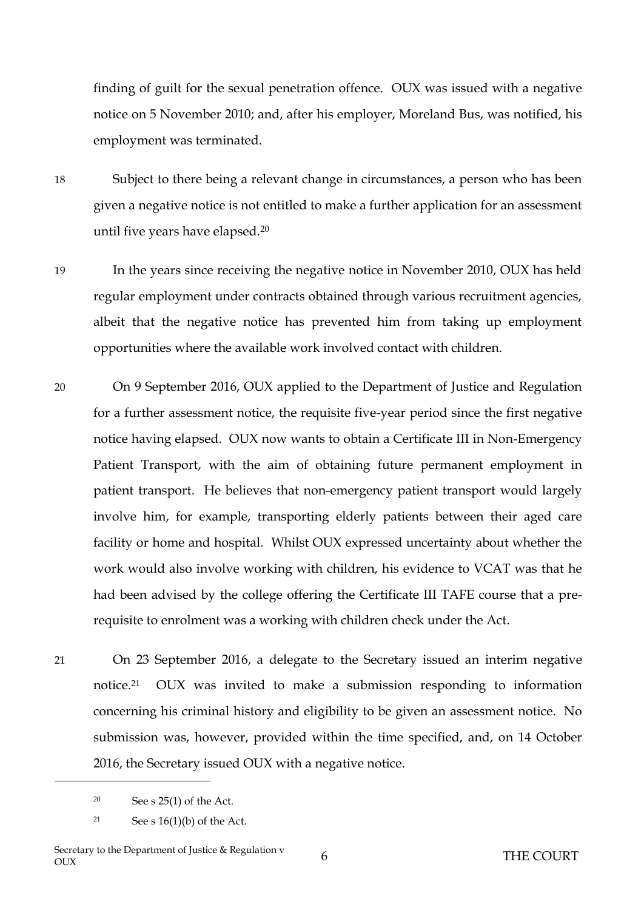finding of guilt for the sexual penetration offence. OUX was issued with a negative notice on 5 November 2010; and, after his employer, Moreland Bus, was notified, his employment was terminated.

- 18 Subject to there being a relevant change in circumstances, a person who has been given a negative notice is not entitled to make a further application for an assessment until five years have elapsed.<sup>20</sup>
- 19 In the years since receiving the negative notice in November 2010, OUX has held regular employment under contracts obtained through various recruitment agencies, albeit that the negative notice has prevented him from taking up employment opportunities where the available work involved contact with children.
- 20 On 9 September 2016, OUX applied to the Department of Justice and Regulation for a further assessment notice, the requisite five-year period since the first negative notice having elapsed. OUX now wants to obtain a Certificate III in Non-Emergency Patient Transport, with the aim of obtaining future permanent employment in patient transport. He believes that non-emergency patient transport would largely involve him, for example, transporting elderly patients between their aged care facility or home and hospital. Whilst OUX expressed uncertainty about whether the work would also involve working with children, his evidence to VCAT was that he had been advised by the college offering the Certificate III TAFE course that a prerequisite to enrolment was a working with children check under the Act.
- 21 On 23 September 2016, a delegate to the Secretary issued an interim negative notice. <sup>21</sup> OUX was invited to make a submission responding to information concerning his criminal history and eligibility to be given an assessment notice. No submission was, however, provided within the time specified, and, on 14 October 2016, the Secretary issued OUX with a negative notice.

 $20$  See s  $25(1)$  of the Act.

<sup>21</sup> See s  $16(1)(b)$  of the Act.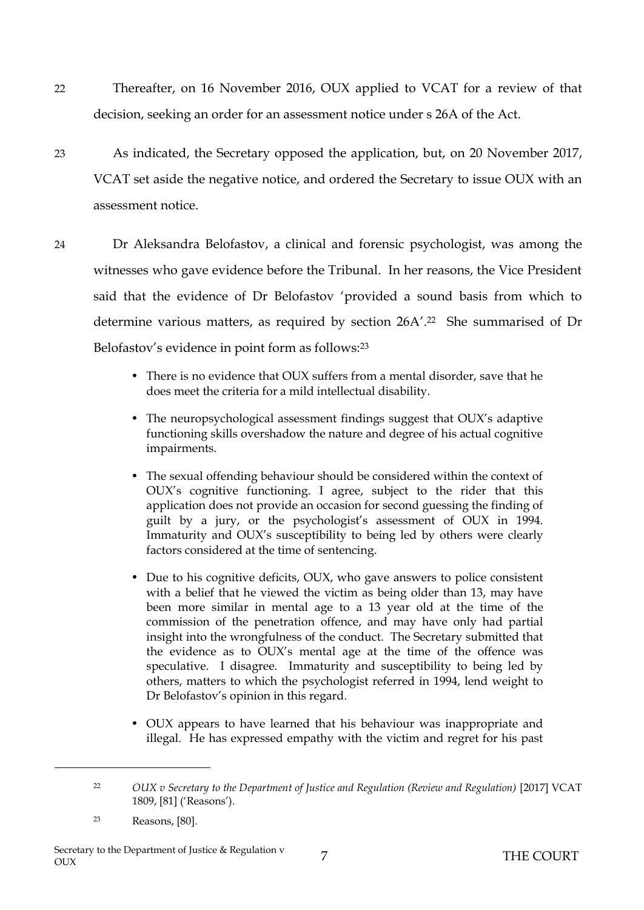- 22 Thereafter, on 16 November 2016, OUX applied to VCAT for a review of that decision, seeking an order for an assessment notice under s 26A of the Act.
- 23 As indicated, the Secretary opposed the application, but, on 20 November 2017, VCAT set aside the negative notice, and ordered the Secretary to issue OUX with an assessment notice.
- 24 Dr Aleksandra Belofastov, a clinical and forensic psychologist, was among the witnesses who gave evidence before the Tribunal. In her reasons, the Vice President said that the evidence of Dr Belofastov 'provided a sound basis from which to determine various matters, as required by section 26A'. <sup>22</sup> She summarised of Dr Belofastov's evidence in point form as follows:<sup>23</sup>
	- There is no evidence that OUX suffers from a mental disorder, save that he does meet the criteria for a mild intellectual disability.
	- The neuropsychological assessment findings suggest that OUX's adaptive functioning skills overshadow the nature and degree of his actual cognitive impairments.
	- The sexual offending behaviour should be considered within the context of OUX's cognitive functioning. I agree, subject to the rider that this application does not provide an occasion for second guessing the finding of guilt by a jury, or the psychologist's assessment of OUX in 1994. Immaturity and OUX's susceptibility to being led by others were clearly factors considered at the time of sentencing.
	- Due to his cognitive deficits, OUX, who gave answers to police consistent with a belief that he viewed the victim as being older than 13, may have been more similar in mental age to a 13 year old at the time of the commission of the penetration offence, and may have only had partial insight into the wrongfulness of the conduct. The Secretary submitted that the evidence as to OUX's mental age at the time of the offence was speculative. I disagree. Immaturity and susceptibility to being led by others, matters to which the psychologist referred in 1994, lend weight to Dr Belofastov's opinion in this regard.
	- OUX appears to have learned that his behaviour was inappropriate and illegal. He has expressed empathy with the victim and regret for his past

<sup>&</sup>lt;sup>22</sup> *OUX v Secretary to the Department of Justice and Regulation (Review and Regulation)* [2017] VCAT 1809, [81] ('Reasons').

<sup>23</sup> Reasons, [80].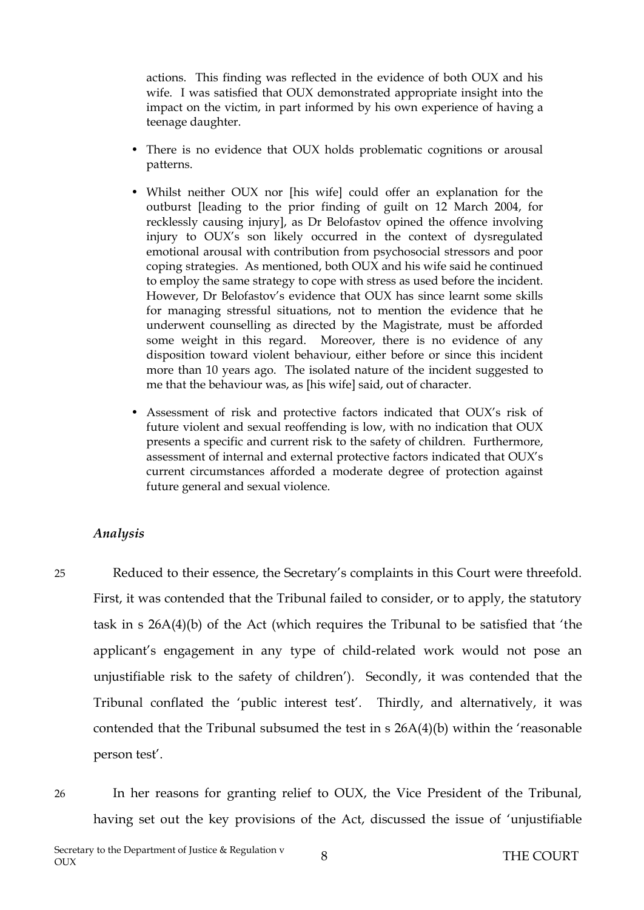actions. This finding was reflected in the evidence of both OUX and his wife. I was satisfied that OUX demonstrated appropriate insight into the impact on the victim, in part informed by his own experience of having a teenage daughter.

- There is no evidence that OUX holds problematic cognitions or arousal patterns.
- Whilst neither OUX nor [his wife] could offer an explanation for the outburst [leading to the prior finding of guilt on 12 March 2004, for recklessly causing injury], as Dr Belofastov opined the offence involving injury to OUX's son likely occurred in the context of dysregulated emotional arousal with contribution from psychosocial stressors and poor coping strategies. As mentioned, both OUX and his wife said he continued to employ the same strategy to cope with stress as used before the incident. However, Dr Belofastov's evidence that OUX has since learnt some skills for managing stressful situations, not to mention the evidence that he underwent counselling as directed by the Magistrate, must be afforded some weight in this regard. Moreover, there is no evidence of any disposition toward violent behaviour, either before or since this incident more than 10 years ago. The isolated nature of the incident suggested to me that the behaviour was, as [his wife] said, out of character.
- Assessment of risk and protective factors indicated that OUX's risk of future violent and sexual reoffending is low, with no indication that OUX presents a specific and current risk to the safety of children. Furthermore, assessment of internal and external protective factors indicated that OUX's current circumstances afforded a moderate degree of protection against future general and sexual violence.

### *Analysis*

25 Reduced to their essence, the Secretary's complaints in this Court were threefold. First, it was contended that the Tribunal failed to consider, or to apply, the statutory task in s 26A(4)(b) of the Act (which requires the Tribunal to be satisfied that 'the applicant's engagement in any type of child-related work would not pose an unjustifiable risk to the safety of children'). Secondly, it was contended that the Tribunal conflated the 'public interest test'. Thirdly, and alternatively, it was contended that the Tribunal subsumed the test in s 26A(4)(b) within the 'reasonable person test'.

26 In her reasons for granting relief to OUX, the Vice President of the Tribunal, having set out the key provisions of the Act, discussed the issue of 'unjustifiable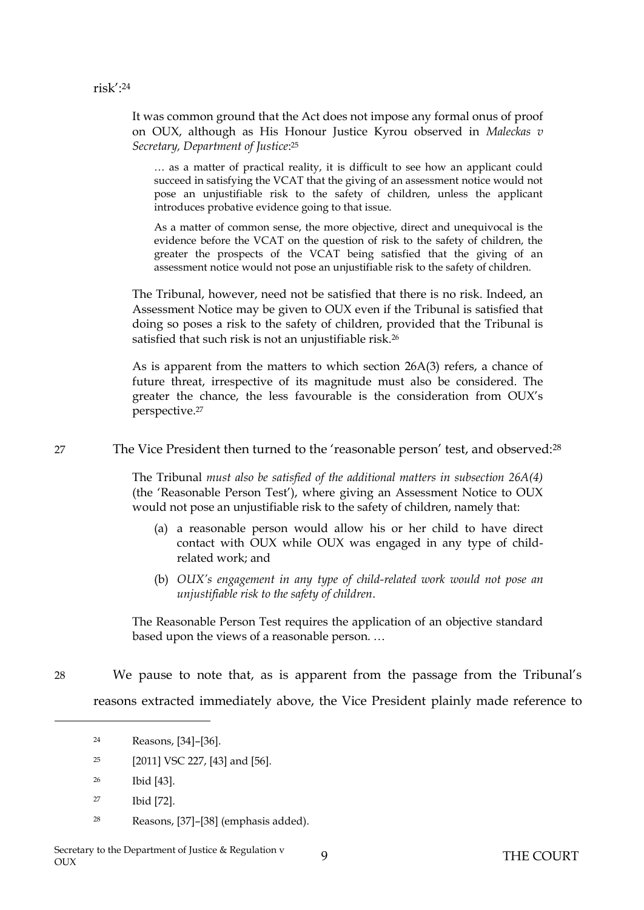It was common ground that the Act does not impose any formal onus of proof on OUX, although as His Honour Justice Kyrou observed in *Maleckas v Secretary, Department of Justice*: 25

… as a matter of practical reality, it is difficult to see how an applicant could succeed in satisfying the VCAT that the giving of an assessment notice would not pose an unjustifiable risk to the safety of children, unless the applicant introduces probative evidence going to that issue.

As a matter of common sense, the more objective, direct and unequivocal is the evidence before the VCAT on the question of risk to the safety of children, the greater the prospects of the VCAT being satisfied that the giving of an assessment notice would not pose an unjustifiable risk to the safety of children.

The Tribunal, however, need not be satisfied that there is no risk. Indeed, an Assessment Notice may be given to OUX even if the Tribunal is satisfied that doing so poses a risk to the safety of children, provided that the Tribunal is satisfied that such risk is not an unjustifiable risk.<sup>26</sup>

As is apparent from the matters to which section 26A(3) refers, a chance of future threat, irrespective of its magnitude must also be considered. The greater the chance, the less favourable is the consideration from OUX's perspective.<sup>27</sup>

27 The Vice President then turned to the 'reasonable person' test, and observed:<sup>28</sup>

The Tribunal *must also be satisfied of the additional matters in subsection 26A(4)* (the 'Reasonable Person Test'), where giving an Assessment Notice to OUX would not pose an unjustifiable risk to the safety of children, namely that:

- (a) a reasonable person would allow his or her child to have direct contact with OUX while OUX was engaged in any type of childrelated work; and
- (b) *OUX's engagement in any type of child-related work would not pose an unjustifiable risk to the safety of children*.

The Reasonable Person Test requires the application of an objective standard based upon the views of a reasonable person. …

28 We pause to note that, as is apparent from the passage from the Tribunal's reasons extracted immediately above, the Vice President plainly made reference to

- <sup>25</sup> [2011] VSC 227, [43] and [56].
- <sup>26</sup> Ibid [43].
- <sup>27</sup> Ibid [72].
- <sup>28</sup> Reasons, [37]–[38] (emphasis added).

<sup>24</sup> Reasons, [34]–[36].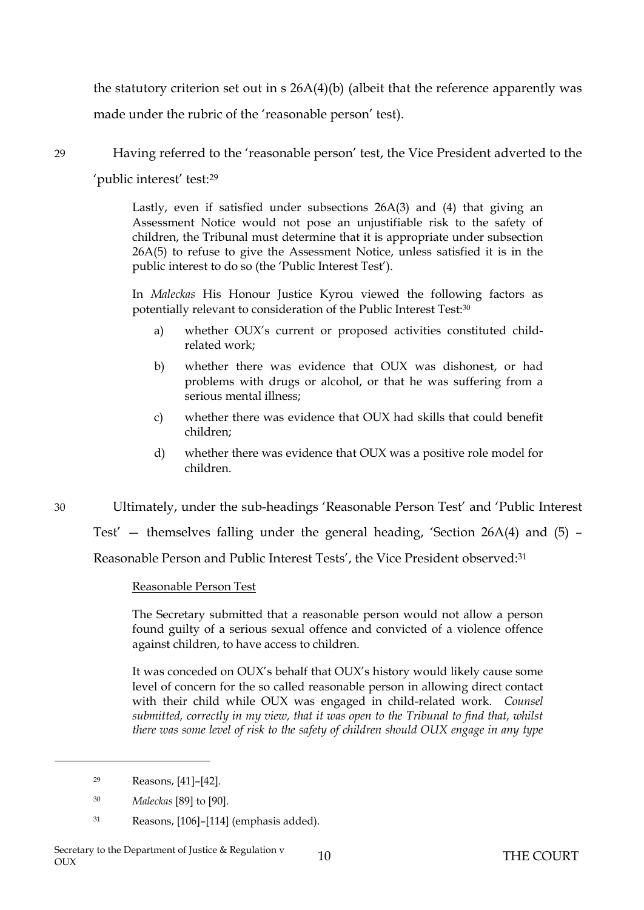the statutory criterion set out in s 26A(4)(b) (albeit that the reference apparently was made under the rubric of the 'reasonable person' test).

29 Having referred to the 'reasonable person' test, the Vice President adverted to the

'public interest' test:<sup>29</sup>

Lastly, even if satisfied under subsections 26A(3) and (4) that giving an Assessment Notice would not pose an unjustifiable risk to the safety of children, the Tribunal must determine that it is appropriate under subsection 26A(5) to refuse to give the Assessment Notice, unless satisfied it is in the public interest to do so (the 'Public Interest Test').

In *Maleckas* His Honour Justice Kyrou viewed the following factors as potentially relevant to consideration of the Public Interest Test:<sup>30</sup>

- a) whether OUX's current or proposed activities constituted childrelated work;
- b) whether there was evidence that OUX was dishonest, or had problems with drugs or alcohol, or that he was suffering from a serious mental illness;
- c) whether there was evidence that OUX had skills that could benefit children;
- d) whether there was evidence that OUX was a positive role model for children.

<span id="page-10-0"></span>30 Ultimately, under the sub-headings 'Reasonable Person Test' and 'Public Interest Test' — themselves falling under the general heading, 'Section 26A(4) and (5) – Reasonable Person and Public Interest Tests', the Vice President observed:<sup>31</sup>

### Reasonable Person Test

The Secretary submitted that a reasonable person would not allow a person found guilty of a serious sexual offence and convicted of a violence offence against children, to have access to children.

It was conceded on OUX's behalf that OUX's history would likely cause some level of concern for the so called reasonable person in allowing direct contact with their child while OUX was engaged in child-related work. *Counsel submitted, correctly in my view, that it was open to the Tribunal to find that, whilst there was some level of risk to the safety of children should OUX engage in any type* 

- <sup>30</sup> *Maleckas* [89] to [90].
- <sup>31</sup> Reasons, [106]–[114] (emphasis added).

<sup>29</sup> Reasons, [41]–[42].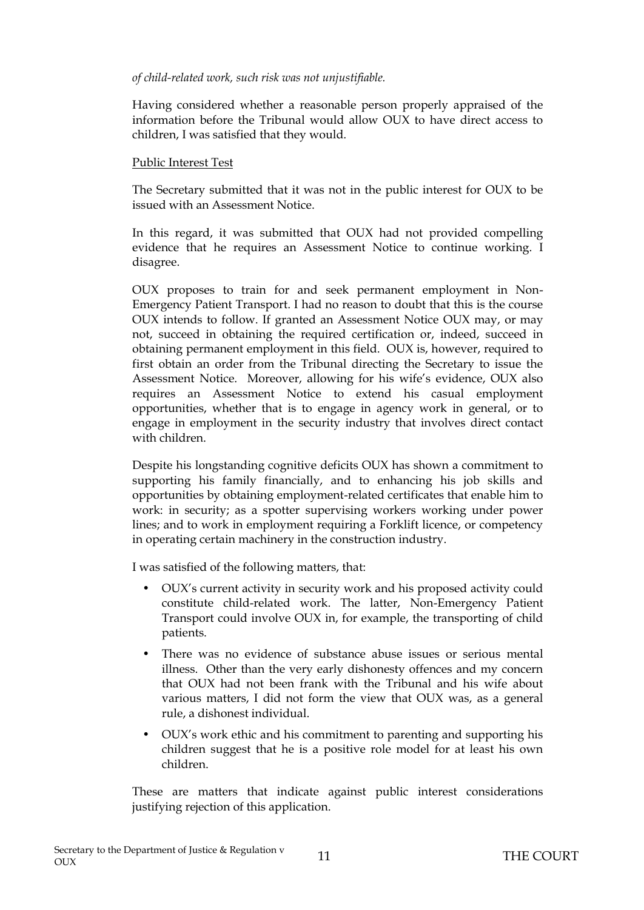#### *of child-related work, such risk was not unjustifiable.*

Having considered whether a reasonable person properly appraised of the information before the Tribunal would allow OUX to have direct access to children, I was satisfied that they would.

#### Public Interest Test

The Secretary submitted that it was not in the public interest for OUX to be issued with an Assessment Notice.

In this regard, it was submitted that OUX had not provided compelling evidence that he requires an Assessment Notice to continue working. I disagree.

OUX proposes to train for and seek permanent employment in Non-Emergency Patient Transport. I had no reason to doubt that this is the course OUX intends to follow. If granted an Assessment Notice OUX may, or may not, succeed in obtaining the required certification or, indeed, succeed in obtaining permanent employment in this field. OUX is, however, required to first obtain an order from the Tribunal directing the Secretary to issue the Assessment Notice. Moreover, allowing for his wife's evidence, OUX also requires an Assessment Notice to extend his casual employment opportunities, whether that is to engage in agency work in general, or to engage in employment in the security industry that involves direct contact with children.

Despite his longstanding cognitive deficits OUX has shown a commitment to supporting his family financially, and to enhancing his job skills and opportunities by obtaining employment-related certificates that enable him to work: in security; as a spotter supervising workers working under power lines; and to work in employment requiring a Forklift licence, or competency in operating certain machinery in the construction industry.

I was satisfied of the following matters, that:

- OUX's current activity in security work and his proposed activity could constitute child-related work. The latter, Non-Emergency Patient Transport could involve OUX in, for example, the transporting of child patients.
- There was no evidence of substance abuse issues or serious mental illness. Other than the very early dishonesty offences and my concern that OUX had not been frank with the Tribunal and his wife about various matters, I did not form the view that OUX was, as a general rule, a dishonest individual.
- OUX's work ethic and his commitment to parenting and supporting his children suggest that he is a positive role model for at least his own children.

These are matters that indicate against public interest considerations justifying rejection of this application.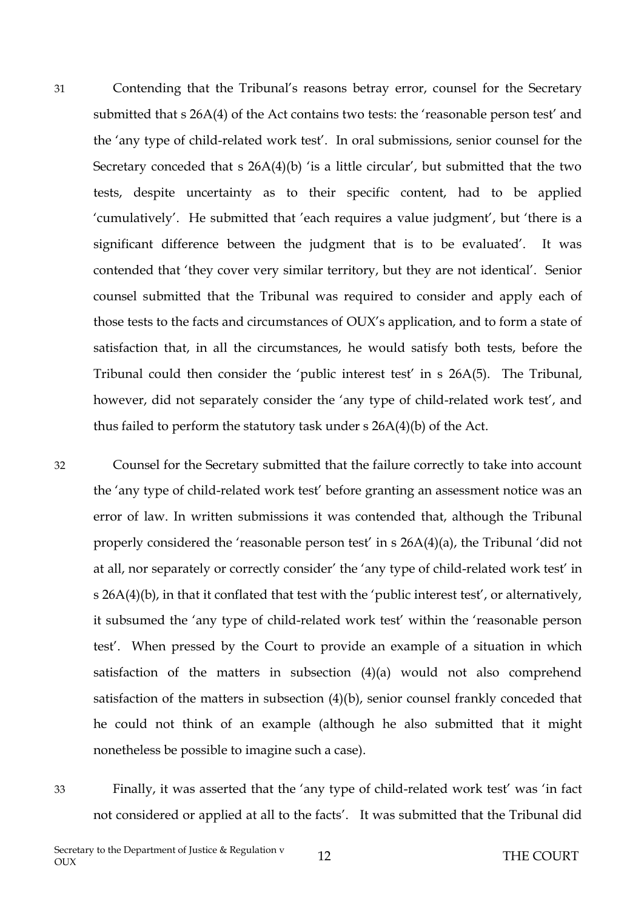31 Contending that the Tribunal's reasons betray error, counsel for the Secretary submitted that s 26A(4) of the Act contains two tests: the 'reasonable person test' and the 'any type of child-related work test'. In oral submissions, senior counsel for the Secretary conceded that  $s$  26A(4)(b) 'is a little circular', but submitted that the two tests, despite uncertainty as to their specific content, had to be applied 'cumulatively'. He submitted that 'each requires a value judgment', but 'there is a significant difference between the judgment that is to be evaluated'. It was contended that 'they cover very similar territory, but they are not identical'. Senior counsel submitted that the Tribunal was required to consider and apply each of those tests to the facts and circumstances of OUX's application, and to form a state of satisfaction that, in all the circumstances, he would satisfy both tests, before the Tribunal could then consider the 'public interest test' in s 26A(5). The Tribunal, however, did not separately consider the 'any type of child-related work test', and thus failed to perform the statutory task under s 26A(4)(b) of the Act.

32 Counsel for the Secretary submitted that the failure correctly to take into account the 'any type of child-related work test' before granting an assessment notice was an error of law. In written submissions it was contended that, although the Tribunal properly considered the 'reasonable person test' in s 26A(4)(a), the Tribunal 'did not at all, nor separately or correctly consider' the 'any type of child-related work test' in s 26A(4)(b), in that it conflated that test with the 'public interest test', or alternatively, it subsumed the 'any type of child-related work test' within the 'reasonable person test'. When pressed by the Court to provide an example of a situation in which satisfaction of the matters in subsection (4)(a) would not also comprehend satisfaction of the matters in subsection (4)(b), senior counsel frankly conceded that he could not think of an example (although he also submitted that it might nonetheless be possible to imagine such a case).

33 Finally, it was asserted that the 'any type of child-related work test' was 'in fact not considered or applied at all to the facts'. It was submitted that the Tribunal did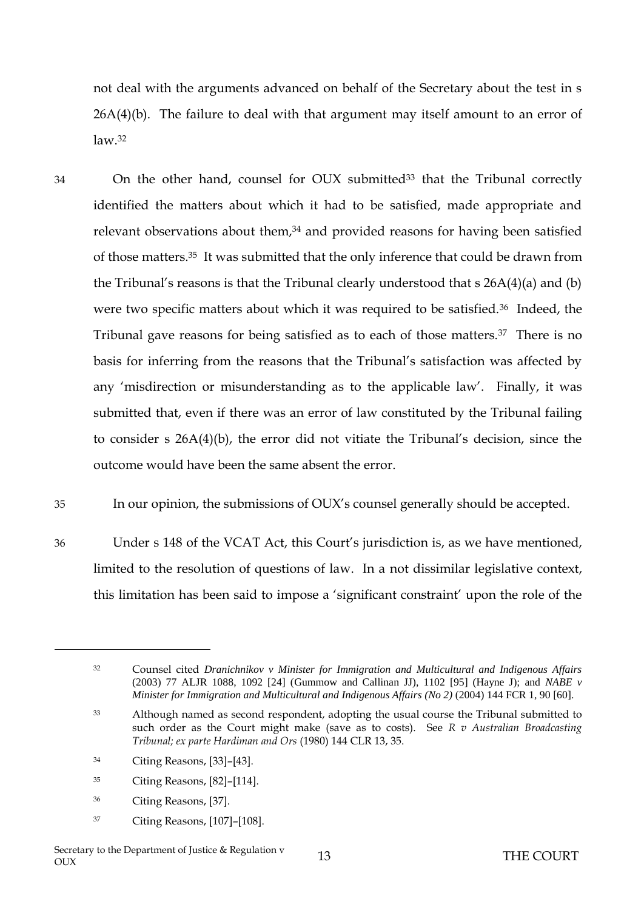not deal with the arguments advanced on behalf of the Secretary about the test in s  $26A(4)(b)$ . The failure to deal with that argument may itself amount to an error of  $law<sup>32</sup>$ 

- 34 On the other hand, counsel for OUX submitted<sup>33</sup> that the Tribunal correctly identified the matters about which it had to be satisfied, made appropriate and relevant observations about them,<sup>34</sup> and provided reasons for having been satisfied of those matters.<sup>35</sup> It was submitted that the only inference that could be drawn from the Tribunal's reasons is that the Tribunal clearly understood that s 26A(4)(a) and (b) were two specific matters about which it was required to be satisfied.36 Indeed, the Tribunal gave reasons for being satisfied as to each of those matters.37 There is no basis for inferring from the reasons that the Tribunal's satisfaction was affected by any 'misdirection or misunderstanding as to the applicable law'. Finally, it was submitted that, even if there was an error of law constituted by the Tribunal failing to consider s 26A(4)(b), the error did not vitiate the Tribunal's decision, since the outcome would have been the same absent the error.
- 35 In our opinion, the submissions of OUX's counsel generally should be accepted.
- 36 Under s 148 of the VCAT Act, this Court's jurisdiction is, as we have mentioned, limited to the resolution of questions of law. In a not dissimilar legislative context, this limitation has been said to impose a 'significant constraint' upon the role of the

- <sup>35</sup> Citing Reasons, [82]–[114].
- <sup>36</sup> Citing Reasons, [37].

 $\overline{a}$ 

<sup>37</sup> Citing Reasons, [107]–[108].

<sup>32</sup> Counsel cited *Dranichnikov v Minister for Immigration and Multicultural and Indigenous Affairs* (2003) 77 ALJR 1088, 1092 [24] (Gummow and Callinan JJ), 1102 [95] (Hayne J); and *NABE v Minister for Immigration and Multicultural and Indigenous Affairs (No 2)* (2004) 144 FCR 1, 90 [60].

<sup>&</sup>lt;sup>33</sup> Although named as second respondent, adopting the usual course the Tribunal submitted to such order as the Court might make (save as to costs). See *R v Australian Broadcasting Tribunal; ex parte Hardiman and Ors* (1980) 144 CLR 13, 35.

<sup>34</sup> Citing Reasons, [33]–[43].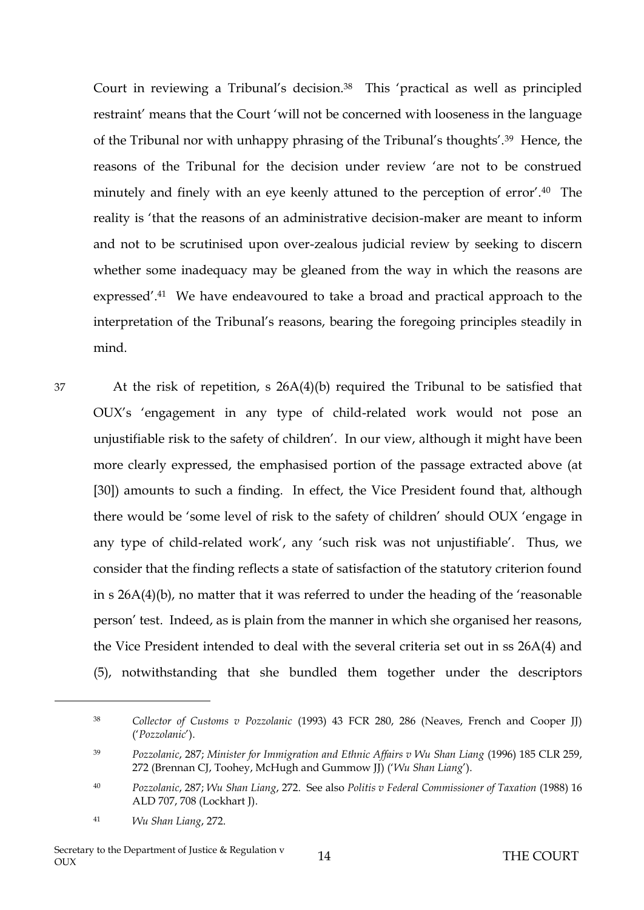Court in reviewing a Tribunal's decision.<sup>38</sup> This 'practical as well as principled restraint' means that the Court 'will not be concerned with looseness in the language of the Tribunal nor with unhappy phrasing of the Tribunal's thoughts'.39 Hence, the reasons of the Tribunal for the decision under review 'are not to be construed minutely and finely with an eye keenly attuned to the perception of error'.40 The reality is 'that the reasons of an administrative decision-maker are meant to inform and not to be scrutinised upon over-zealous judicial review by seeking to discern whether some inadequacy may be gleaned from the way in which the reasons are expressed'.41 We have endeavoured to take a broad and practical approach to the interpretation of the Tribunal's reasons, bearing the foregoing principles steadily in mind.

37 At the risk of repetition, s 26A(4)(b) required the Tribunal to be satisfied that OUX's 'engagement in any type of child-related work would not pose an unjustifiable risk to the safety of children'. In our view, although it might have been more clearly expressed, the emphasised portion of the passage extracted above (at [\[30\]](#page-10-0)) amounts to such a finding. In effect, the Vice President found that, although there would be 'some level of risk to the safety of children' should OUX 'engage in any type of child-related work', any 'such risk was not unjustifiable'. Thus, we consider that the finding reflects a state of satisfaction of the statutory criterion found in s 26A(4)(b), no matter that it was referred to under the heading of the 'reasonable person' test. Indeed, as is plain from the manner in which she organised her reasons, the Vice President intended to deal with the several criteria set out in ss 26A(4) and (5), notwithstanding that she bundled them together under the descriptors

<sup>38</sup> *Collector of Customs v Pozzolanic* (1993) 43 FCR 280, 286 (Neaves, French and Cooper JJ) ('*Pozzolanic*').

<sup>39</sup> *Pozzolanic*, 287; *Minister for Immigration and Ethnic Affairs v Wu Shan Liang* (1996) 185 CLR 259, 272 (Brennan CJ, Toohey, McHugh and Gummow JJ) ('*Wu Shan Liang*').

<sup>40</sup> *Pozzolanic*, 287; *Wu Shan Liang*, 272. See also *Politis v Federal Commissioner of Taxation* (1988) 16 ALD 707, 708 (Lockhart J).

<sup>41</sup> *Wu Shan Liang*, 272.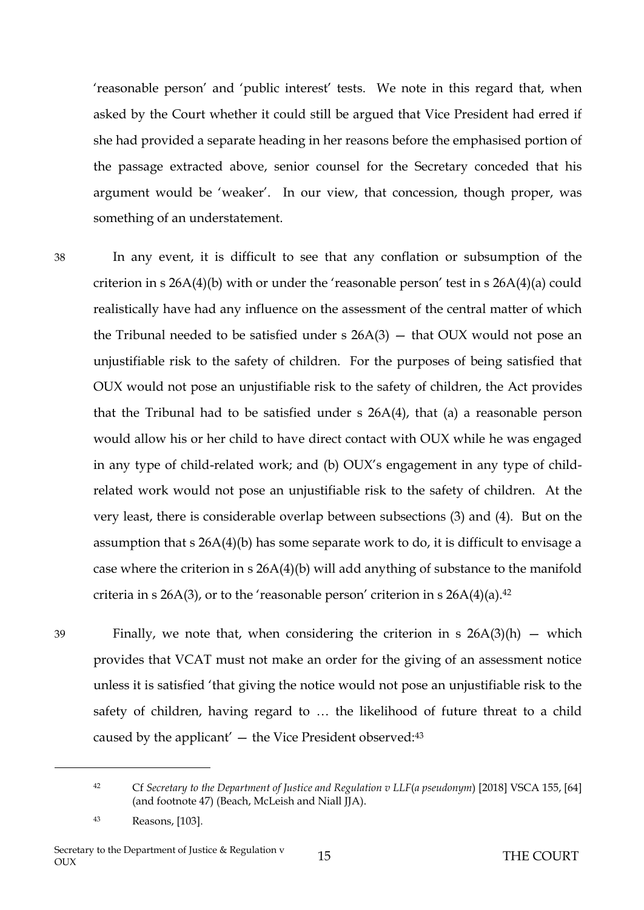'reasonable person' and 'public interest' tests. We note in this regard that, when asked by the Court whether it could still be argued that Vice President had erred if she had provided a separate heading in her reasons before the emphasised portion of the passage extracted above, senior counsel for the Secretary conceded that his argument would be 'weaker'. In our view, that concession, though proper, was something of an understatement.

38 In any event, it is difficult to see that any conflation or subsumption of the criterion in s 26A(4)(b) with or under the 'reasonable person' test in s 26A(4)(a) could realistically have had any influence on the assessment of the central matter of which the Tribunal needed to be satisfied under  $s$  26A(3)  $-$  that OUX would not pose an unjustifiable risk to the safety of children. For the purposes of being satisfied that OUX would not pose an unjustifiable risk to the safety of children, the Act provides that the Tribunal had to be satisfied under s 26A(4), that (a) a reasonable person would allow his or her child to have direct contact with OUX while he was engaged in any type of child-related work; and (b) OUX's engagement in any type of childrelated work would not pose an unjustifiable risk to the safety of children. At the very least, there is considerable overlap between subsections (3) and (4). But on the assumption that s 26A(4)(b) has some separate work to do, it is difficult to envisage a case where the criterion in s 26A(4)(b) will add anything of substance to the manifold criteria in s 26A(3), or to the 'reasonable person' criterion in s  $26A(4)(a)$ .<sup>42</sup>

 $\overline{a}$ 

39 Finally, we note that, when considering the criterion in s  $26A(3)(h)$  – which provides that VCAT must not make an order for the giving of an assessment notice unless it is satisfied 'that giving the notice would not pose an unjustifiable risk to the safety of children, having regard to … the likelihood of future threat to a child caused by the applicant' — the Vice President observed:<sup>43</sup>

<sup>42</sup> Cf *Secretary to the Department of Justice and Regulation v LLF*(*a pseudonym*) [2018] VSCA 155, [64] (and footnote 47) (Beach, McLeish and Niall JJA).

<sup>43</sup> Reasons, [103].